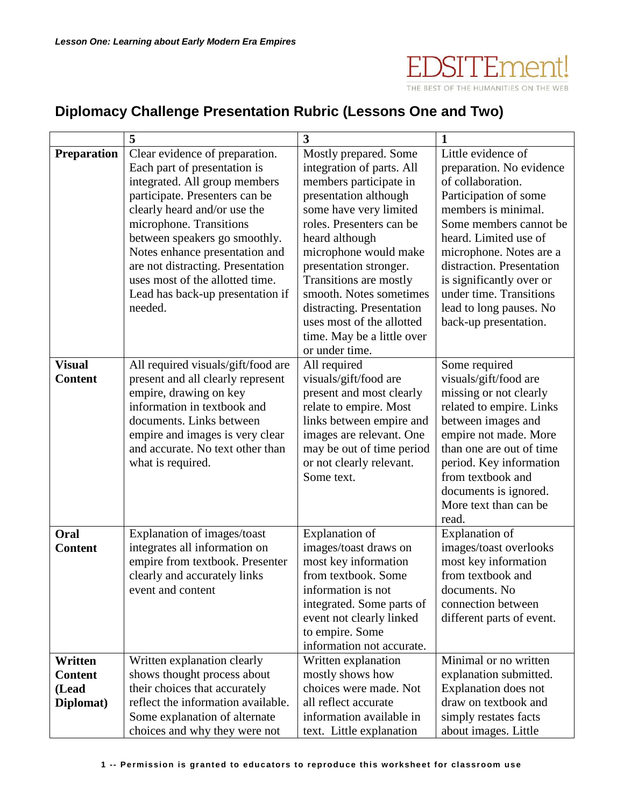EDSITEment!

THE BEST OF THE HUMANITIES ON THE WEB

## **Diplomacy Challenge Presentation Rubric (Lessons One and Two)**

|                    | 5                                  | $\overline{\mathbf{3}}$                    | $\mathbf{1}$              |
|--------------------|------------------------------------|--------------------------------------------|---------------------------|
| <b>Preparation</b> | Clear evidence of preparation.     | Mostly prepared. Some                      | Little evidence of        |
|                    | Each part of presentation is       | integration of parts. All                  | preparation. No evidence  |
|                    | integrated. All group members      | members participate in                     | of collaboration.         |
|                    | participate. Presenters can be     | presentation although                      | Participation of some     |
|                    | clearly heard and/or use the       | some have very limited                     | members is minimal.       |
|                    | microphone. Transitions            | roles. Presenters can be                   | Some members cannot be    |
|                    | between speakers go smoothly.      | heard although                             | heard. Limited use of     |
|                    | Notes enhance presentation and     | microphone would make                      | microphone. Notes are a   |
|                    | are not distracting. Presentation  | presentation stronger.                     | distraction. Presentation |
|                    | uses most of the allotted time.    | Transitions are mostly                     | is significantly over or  |
|                    | Lead has back-up presentation if   | smooth. Notes sometimes                    | under time. Transitions   |
|                    | needed.                            | distracting. Presentation                  | lead to long pauses. No   |
|                    |                                    | uses most of the allotted                  | back-up presentation.     |
|                    |                                    | time. May be a little over                 |                           |
|                    |                                    | or under time.                             |                           |
| <b>Visual</b>      | All required visuals/gift/food are | All required                               | Some required             |
| <b>Content</b>     | present and all clearly represent  | visuals/gift/food are                      | visuals/gift/food are     |
|                    | empire, drawing on key             | present and most clearly                   | missing or not clearly    |
|                    | information in textbook and        | relate to empire. Most                     | related to empire. Links  |
|                    | documents. Links between           | links between empire and                   | between images and        |
|                    | empire and images is very clear    | images are relevant. One                   | empire not made. More     |
|                    | and accurate. No text other than   | may be out of time period                  | than one are out of time  |
|                    | what is required.                  | or not clearly relevant.                   | period. Key information   |
|                    |                                    | Some text.                                 | from textbook and         |
|                    |                                    |                                            | documents is ignored.     |
|                    |                                    |                                            | More text than can be     |
|                    |                                    |                                            | read.                     |
| Oral               | Explanation of images/toast        | Explanation of                             | Explanation of            |
| <b>Content</b>     | integrates all information on      | images/toast draws on                      | images/toast overlooks    |
|                    | empire from textbook. Presenter    | most key information                       | most key information      |
|                    | clearly and accurately links       | from textbook. Some                        | from textbook and         |
|                    | event and content                  | information is not                         | documents. No             |
|                    |                                    | integrated. Some parts of                  | connection between        |
|                    |                                    | event not clearly linked                   | different parts of event. |
|                    |                                    | to empire. Some                            |                           |
|                    |                                    | information not accurate.                  |                           |
| Written            | Written explanation clearly        | Written explanation                        | Minimal or no written     |
| <b>Content</b>     | shows thought process about        | mostly shows how<br>choices were made. Not | explanation submitted.    |
| (Lead              | their choices that accurately      |                                            | Explanation does not      |
| Diplomat)          | reflect the information available. | all reflect accurate                       | draw on textbook and      |
|                    | Some explanation of alternate      | information available in                   | simply restates facts     |
|                    | choices and why they were not      | text. Little explanation                   | about images. Little      |